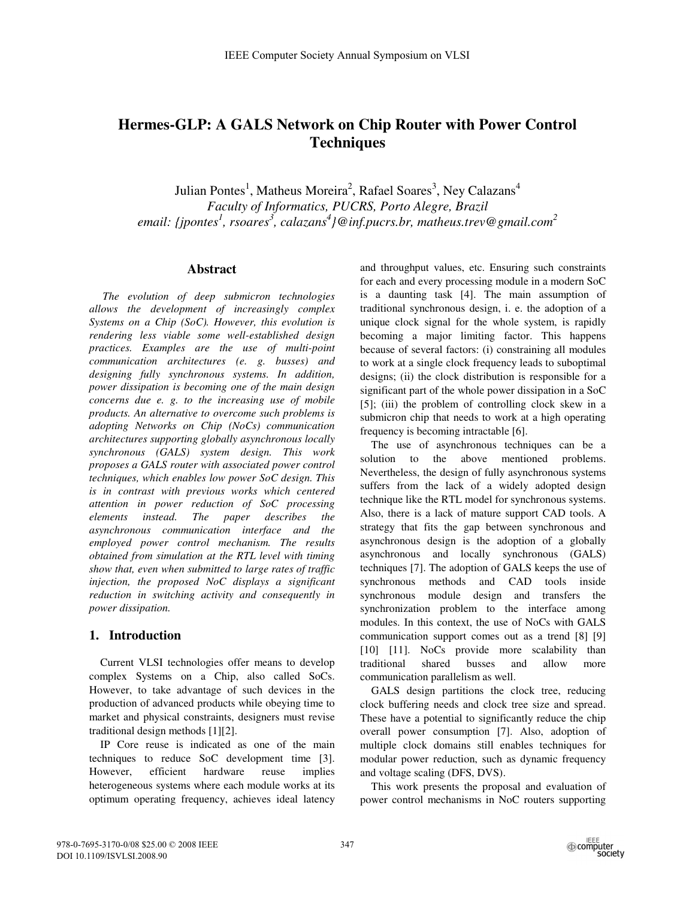# **Hermes-GLP: A GALS Network on Chip Router with Power Control Techniques**

Julian Pontes<sup>1</sup>, Matheus Moreira<sup>2</sup>, Rafael Soares<sup>3</sup>, Ney Calazans<sup>4</sup> *Faculty of Informatics, PUCRS, Porto Alegre, Brazil email: {jpontes<sup>1</sup> , rsoares 3 , calazans<sup>4</sup> }@inf.pucrs.br, matheus.trev@gmail.com<sup>2</sup>*

## **Abstract**

*The evolution of deep submicron technologies allows the development of increasingly complex Systems on a Chip (SoC). However, this evolution is rendering less viable some well-established design practices. Examples are the use of multi-point communication architectures (e. g. busses) and designing fully synchronous systems. In addition, power dissipation is becoming one of the main design concerns due e. g. to the increasing use of mobile products. An alternative to overcome such problems is adopting Networks on Chip (NoCs) communication architectures supporting globally asynchronous locally synchronous (GALS) system design. This work proposes a GALS router with associated power control techniques, which enables low power SoC design. This is in contrast with previous works which centered attention in power reduction of SoC processing elements instead. The paper describes the asynchronous communication interface and the employed power control mechanism. The results obtained from simulation at the RTL level with timing show that, even when submitted to large rates of traffic injection, the proposed NoC displays a significant reduction in switching activity and consequently in power dissipation.* 

# **1. Introduction**

Current VLSI technologies offer means to develop complex Systems on a Chip, also called SoCs. However, to take advantage of such devices in the production of advanced products while obeying time to market and physical constraints, designers must revise traditional design methods [1][2].

IP Core reuse is indicated as one of the main techniques to reduce SoC development time [3]. However, efficient hardware reuse implies heterogeneous systems where each module works at its optimum operating frequency, achieves ideal latency and throughput values, etc. Ensuring such constraints for each and every processing module in a modern SoC is a daunting task [4]. The main assumption of traditional synchronous design, i. e. the adoption of a unique clock signal for the whole system, is rapidly becoming a major limiting factor. This happens because of several factors: (i) constraining all modules to work at a single clock frequency leads to suboptimal designs; (ii) the clock distribution is responsible for a significant part of the whole power dissipation in a SoC [5]; (iii) the problem of controlling clock skew in a submicron chip that needs to work at a high operating frequency is becoming intractable [6].

The use of asynchronous techniques can be a solution to the above mentioned problems. Nevertheless, the design of fully asynchronous systems suffers from the lack of a widely adopted design technique like the RTL model for synchronous systems. Also, there is a lack of mature support CAD tools. A strategy that fits the gap between synchronous and asynchronous design is the adoption of a globally asynchronous and locally synchronous (GALS) techniques [7]. The adoption of GALS keeps the use of synchronous methods and CAD tools inside synchronous module design and transfers the synchronization problem to the interface among modules. In this context, the use of NoCs with GALS communication support comes out as a trend [8] [9] [10] [11]. NoCs provide more scalability than traditional shared busses and allow more communication parallelism as well.

GALS design partitions the clock tree, reducing clock buffering needs and clock tree size and spread. These have a potential to significantly reduce the chip overall power consumption [7]. Also, adoption of multiple clock domains still enables techniques for modular power reduction, such as dynamic frequency and voltage scaling (DFS, DVS).

This work presents the proposal and evaluation of power control mechanisms in NoC routers supporting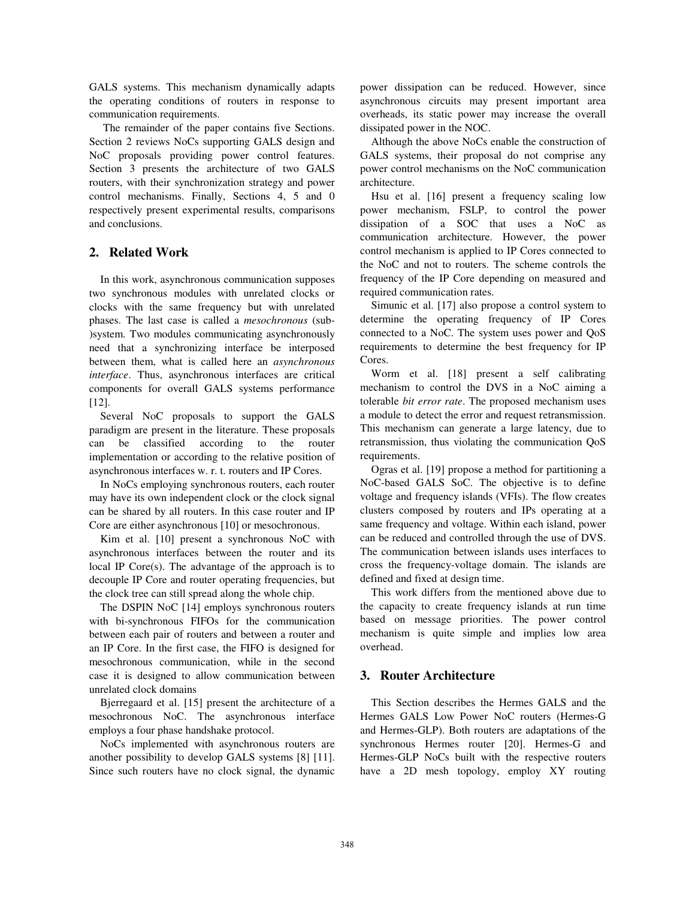GALS systems. This mechanism dynamically adapts the operating conditions of routers in response to communication requirements.

 The remainder of the paper contains five Sections. Section 2 reviews NoCs supporting GALS design and NoC proposals providing power control features. Section 3 presents the architecture of two GALS routers, with their synchronization strategy and power control mechanisms. Finally, Sections 4, 5 and 0 respectively present experimental results, comparisons and conclusions.

# **2. Related Work**

In this work, asynchronous communication supposes two synchronous modules with unrelated clocks or clocks with the same frequency but with unrelated phases. The last case is called a *mesochronous* (sub- )system. Two modules communicating asynchronously need that a synchronizing interface be interposed between them, what is called here an *asynchronous interface*. Thus, asynchronous interfaces are critical components for overall GALS systems performance [12].

Several NoC proposals to support the GALS paradigm are present in the literature. These proposals can be classified according to the router implementation or according to the relative position of asynchronous interfaces w. r. t. routers and IP Cores.

In NoCs employing synchronous routers, each router may have its own independent clock or the clock signal can be shared by all routers. In this case router and IP Core are either asynchronous [10] or mesochronous.

Kim et al. [10] present a synchronous NoC with asynchronous interfaces between the router and its local IP Core(s). The advantage of the approach is to decouple IP Core and router operating frequencies, but the clock tree can still spread along the whole chip.

The DSPIN NoC [14] employs synchronous routers with bi-synchronous FIFOs for the communication between each pair of routers and between a router and an IP Core. In the first case, the FIFO is designed for mesochronous communication, while in the second case it is designed to allow communication between unrelated clock domains

Bjerregaard et al. [15] present the architecture of a mesochronous NoC. The asynchronous interface employs a four phase handshake protocol.

NoCs implemented with asynchronous routers are another possibility to develop GALS systems [8] [11]. Since such routers have no clock signal, the dynamic power dissipation can be reduced. However, since asynchronous circuits may present important area overheads, its static power may increase the overall dissipated power in the NOC.

Although the above NoCs enable the construction of GALS systems, their proposal do not comprise any power control mechanisms on the NoC communication architecture.

Hsu et al. [16] present a frequency scaling low power mechanism, FSLP, to control the power dissipation of a SOC that uses a NoC as communication architecture. However, the power control mechanism is applied to IP Cores connected to the NoC and not to routers. The scheme controls the frequency of the IP Core depending on measured and required communication rates.

Simunic et al. [17] also propose a control system to determine the operating frequency of IP Cores connected to a NoC. The system uses power and QoS requirements to determine the best frequency for IP Cores.

Worm et al. [18] present a self calibrating mechanism to control the DVS in a NoC aiming a tolerable *bit error rate*. The proposed mechanism uses a module to detect the error and request retransmission. This mechanism can generate a large latency, due to retransmission, thus violating the communication QoS requirements.

Ogras et al. [19] propose a method for partitioning a NoC-based GALS SoC. The objective is to define voltage and frequency islands (VFIs). The flow creates clusters composed by routers and IPs operating at a same frequency and voltage. Within each island, power can be reduced and controlled through the use of DVS. The communication between islands uses interfaces to cross the frequency-voltage domain. The islands are defined and fixed at design time.

This work differs from the mentioned above due to the capacity to create frequency islands at run time based on message priorities. The power control mechanism is quite simple and implies low area overhead.

# **3. Router Architecture**

This Section describes the Hermes GALS and the Hermes GALS Low Power NoC routers (Hermes-G and Hermes-GLP). Both routers are adaptations of the synchronous Hermes router [20]. Hermes-G and Hermes-GLP NoCs built with the respective routers have a 2D mesh topology, employ XY routing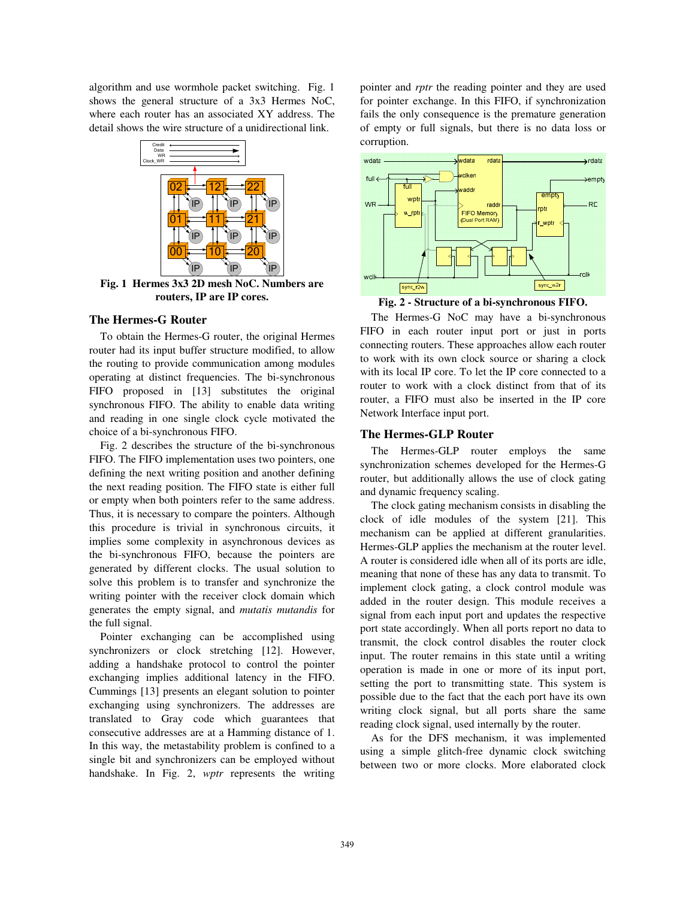algorithm and use wormhole packet switching. Fig. 1 shows the general structure of a 3x3 Hermes NoC, where each router has an associated XY address. The detail shows the wire structure of a unidirectional link.



**Fig. 1 Hermes 3x3 2D mesh NoC. Numbers are routers, IP are IP cores.** 

#### **The Hermes-G Router**

To obtain the Hermes-G router, the original Hermes router had its input buffer structure modified, to allow the routing to provide communication among modules operating at distinct frequencies. The bi-synchronous FIFO proposed in [13] substitutes the original synchronous FIFO. The ability to enable data writing and reading in one single clock cycle motivated the choice of a bi-synchronous FIFO.

Fig. 2 describes the structure of the bi-synchronous FIFO. The FIFO implementation uses two pointers, one defining the next writing position and another defining the next reading position. The FIFO state is either full or empty when both pointers refer to the same address. Thus, it is necessary to compare the pointers. Although this procedure is trivial in synchronous circuits, it implies some complexity in asynchronous devices as the bi-synchronous FIFO, because the pointers are generated by different clocks. The usual solution to solve this problem is to transfer and synchronize the writing pointer with the receiver clock domain which generates the empty signal, and *mutatis mutandis* for the full signal.

Pointer exchanging can be accomplished using synchronizers or clock stretching [12]. However, adding a handshake protocol to control the pointer exchanging implies additional latency in the FIFO. Cummings [13] presents an elegant solution to pointer exchanging using synchronizers. The addresses are translated to Gray code which guarantees that consecutive addresses are at a Hamming distance of 1. In this way, the metastability problem is confined to a single bit and synchronizers can be employed without handshake. In Fig. 2, *wptr* represents the writing pointer and *rptr* the reading pointer and they are used for pointer exchange. In this FIFO, if synchronization fails the only consequence is the premature generation of empty or full signals, but there is no data loss or corruption.



**Fig. 2 - Structure of a bi-synchronous FIFO.** 

The Hermes-G NoC may have a bi-synchronous FIFO in each router input port or just in ports connecting routers. These approaches allow each router to work with its own clock source or sharing a clock with its local IP core. To let the IP core connected to a router to work with a clock distinct from that of its router, a FIFO must also be inserted in the IP core Network Interface input port.

#### **The Hermes-GLP Router**

The Hermes-GLP router employs the same synchronization schemes developed for the Hermes-G router, but additionally allows the use of clock gating and dynamic frequency scaling.

The clock gating mechanism consists in disabling the clock of idle modules of the system [21]. This mechanism can be applied at different granularities. Hermes-GLP applies the mechanism at the router level. A router is considered idle when all of its ports are idle, meaning that none of these has any data to transmit. To implement clock gating, a clock control module was added in the router design. This module receives a signal from each input port and updates the respective port state accordingly. When all ports report no data to transmit, the clock control disables the router clock input. The router remains in this state until a writing operation is made in one or more of its input port, setting the port to transmitting state. This system is possible due to the fact that the each port have its own writing clock signal, but all ports share the same reading clock signal, used internally by the router.

As for the DFS mechanism, it was implemented using a simple glitch-free dynamic clock switching between two or more clocks. More elaborated clock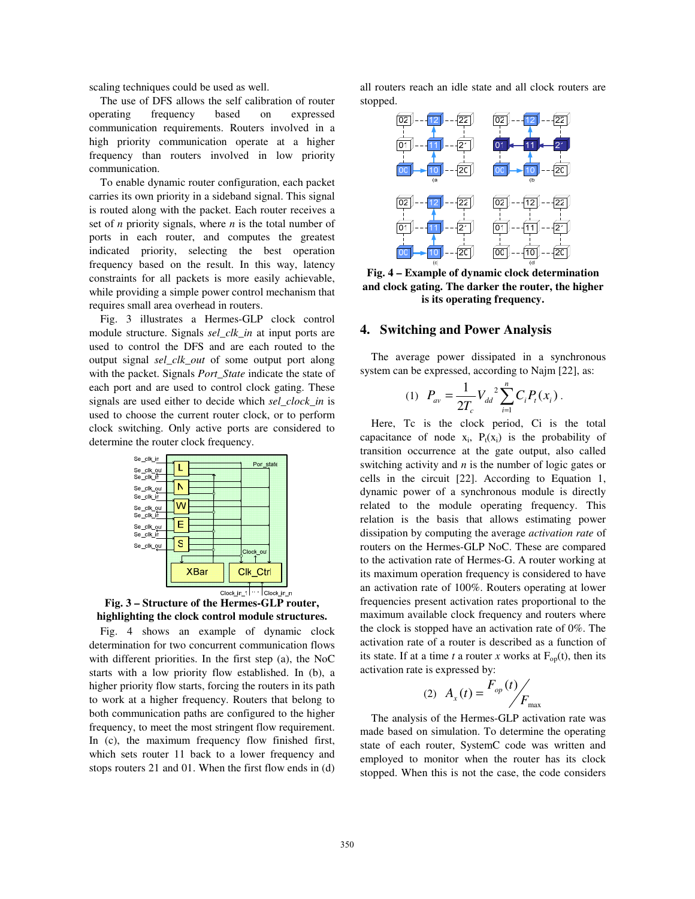scaling techniques could be used as well.

The use of DFS allows the self calibration of router operating frequency based on expressed communication requirements. Routers involved in a high priority communication operate at a higher frequency than routers involved in low priority communication.

To enable dynamic router configuration, each packet carries its own priority in a sideband signal. This signal is routed along with the packet. Each router receives a set of *n* priority signals, where *n* is the total number of ports in each router, and computes the greatest indicated priority, selecting the best operation frequency based on the result. In this way, latency constraints for all packets is more easily achievable, while providing a simple power control mechanism that requires small area overhead in routers.

Fig. 3 illustrates a Hermes-GLP clock control module structure. Signals *sel\_clk\_in* at input ports are used to control the DFS and are each routed to the output signal *sel\_clk\_out* of some output port along with the packet. Signals *Port\_State* indicate the state of each port and are used to control clock gating. These signals are used either to decide which *sel\_clock\_in* is used to choose the current router clock, or to perform clock switching. Only active ports are considered to determine the router clock frequency.





Fig. 4 shows an example of dynamic clock determination for two concurrent communication flows with different priorities. In the first step (a), the NoC starts with a low priority flow established. In (b), a higher priority flow starts, forcing the routers in its path to work at a higher frequency. Routers that belong to both communication paths are configured to the higher frequency, to meet the most stringent flow requirement. In (c), the maximum frequency flow finished first, which sets router 11 back to a lower frequency and stops routers 21 and 01. When the first flow ends in (d) all routers reach an idle state and all clock routers are stopped.



**Fig. 4 – Example of dynamic clock determination and clock gating. The darker the router, the higher is its operating frequency.** 

#### **4. Switching and Power Analysis**

The average power dissipated in a synchronous system can be expressed, according to Najm [22], as:

$$
(1) \ \ P_{av} = \frac{1}{2T_c} V_{dd}^2 \sum_{i=1}^n C_i P_t(x_i) \, .
$$

Here, Tc is the clock period, Ci is the total capacitance of node  $x_i$ ,  $P_t(x_i)$  is the probability of transition occurrence at the gate output, also called switching activity and *n* is the number of logic gates or cells in the circuit [22]. According to Equation 1, dynamic power of a synchronous module is directly related to the module operating frequency. This relation is the basis that allows estimating power dissipation by computing the average *activation rate* of routers on the Hermes-GLP NoC. These are compared to the activation rate of Hermes-G. A router working at its maximum operation frequency is considered to have an activation rate of 100%. Routers operating at lower frequencies present activation rates proportional to the maximum available clock frequency and routers where the clock is stopped have an activation rate of 0%. The activation rate of a router is described as a function of its state. If at a time *t* a router *x* works at  $F_{op}(t)$ , then its activation rate is expressed by:

$$
(2) A_x(t) = \frac{F_{op}(t)}{F_{max}}
$$

The analysis of the Hermes-GLP activation rate was made based on simulation. To determine the operating state of each router, SystemC code was written and employed to monitor when the router has its clock stopped. When this is not the case, the code considers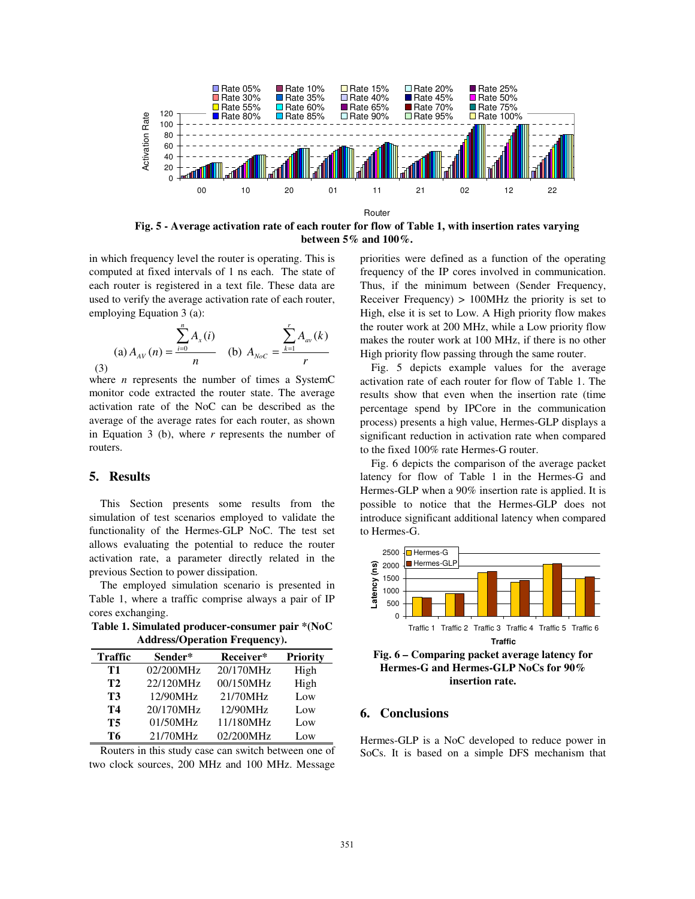

**Fig. 5 - Average activation rate of each router for flow of Table 1, with insertion rates varying between 5% and 100%.** 

in which frequency level the router is operating. This is computed at fixed intervals of 1 ns each. The state of each router is registered in a text file. These data are used to verify the average activation rate of each router, employing Equation 3 (a):

(a) 
$$
A_{AV}(n) = \frac{\sum_{i=0}^{n} A_x(i)}{n}
$$
 (b)  $A_{NoC} = \frac{\sum_{k=1}^{r} A_{av}(k)}{r}$ 

where *n* represents the number of times a SystemC monitor code extracted the router state. The average activation rate of the NoC can be described as the average of the average rates for each router, as shown in Equation 3 (b), where *r* represents the number of routers.

## **5. Results**

This Section presents some results from the simulation of test scenarios employed to validate the functionality of the Hermes-GLP NoC. The test set allows evaluating the potential to reduce the router activation rate, a parameter directly related in the previous Section to power dissipation.

The employed simulation scenario is presented in Table 1, where a traffic comprise always a pair of IP cores exchanging.

**Table 1. Simulated producer-consumer pair \*(NoC Address/Operation Frequency).** 

| <b>Traffic</b> | Sender*   | Receiver* | <b>Priority</b> |
|----------------|-----------|-----------|-----------------|
| Т1             | 02/200MHz | 20/170MHz | High            |
| <b>T2</b>      | 22/120MHz | 00/150MHz | High            |
| <b>T3</b>      | 12/90MHz  | 21/70MHz  | Low             |
| <b>T4</b>      | 20/170MHz | 12/90MHz  | Low             |
| <b>T5</b>      | 01/50MHz  | 11/180MHz | Low             |
| Т6             | 21/70MHz  | 02/200MHz | Low             |

Routers in this study case can switch between one of two clock sources, 200 MHz and 100 MHz. Message

priorities were defined as a function of the operating frequency of the IP cores involved in communication. Thus, if the minimum between (Sender Frequency, Receiver Frequency)  $> 100$ MHz the priority is set to High, else it is set to Low. A High priority flow makes the router work at 200 MHz, while a Low priority flow makes the router work at 100 MHz, if there is no other High priority flow passing through the same router.

Fig. 5 depicts example values for the average activation rate of each router for flow of Table 1. The results show that even when the insertion rate (time percentage spend by IPCore in the communication process) presents a high value, Hermes-GLP displays a significant reduction in activation rate when compared to the fixed 100% rate Hermes-G router.

Fig. 6 depicts the comparison of the average packet latency for flow of Table 1 in the Hermes-G and Hermes-GLP when a 90% insertion rate is applied. It is possible to notice that the Hermes-GLP does not introduce significant additional latency when compared to Hermes-G.



#### **6. Conclusions**

Hermes-GLP is a NoC developed to reduce power in SoCs. It is based on a simple DFS mechanism that